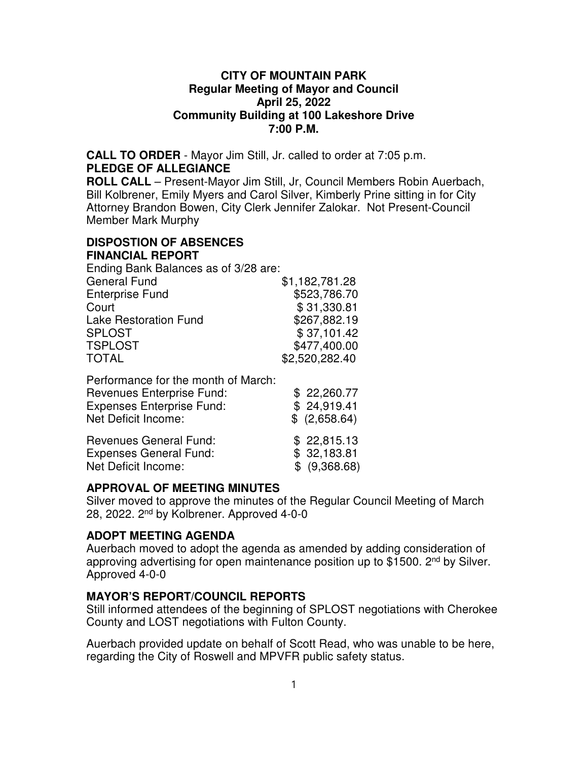#### **CITY OF MOUNTAIN PARK Regular Meeting of Mayor and Council April 25, 2022 Community Building at 100 Lakeshore Drive 7:00 P.M.**

**CALL TO ORDER** - Mayor Jim Still, Jr. called to order at 7:05 p.m. **PLEDGE OF ALLEGIANCE**

**ROLL CALL** – Present-Mayor Jim Still, Jr, Council Members Robin Auerbach, Bill Kolbrener, Emily Myers and Carol Silver, Kimberly Prine sitting in for City Attorney Brandon Bowen, City Clerk Jennifer Zalokar. Not Present-Council Member Mark Murphy

#### **DISPOSTION OF ABSENCES FINANCIAL REPORT**

Ending Bank Balances as of 3/28 are:

| <b>General Fund</b>          | \$1,182,781.28 |
|------------------------------|----------------|
| <b>Enterprise Fund</b>       | \$523,786.70   |
| Court                        | \$31,330.81    |
| <b>Lake Restoration Fund</b> | \$267,882.19   |
| <b>SPLOST</b>                | \$37,101.42    |
| <b>TSPLOST</b>               | \$477,400.00   |
| <b>TOTAL</b>                 | \$2,520,282.40 |

Performance for the month of March:

| <b>Revenues Enterprise Fund:</b> | \$22,260.77   |
|----------------------------------|---------------|
| <b>Expenses Enterprise Fund:</b> | \$24,919.41   |
| Net Deficit Income:              | \$ (2,658.64) |
| <b>Revenues General Fund:</b>    | \$22,815.13   |
| <b>Expenses General Fund:</b>    | \$32,183.81   |
| Net Deficit Income:              | \$ (9,368.68) |

# **APPROVAL OF MEETING MINUTES**

Silver moved to approve the minutes of the Regular Council Meeting of March 28, 2022. 2nd by Kolbrener. Approved 4-0-0

# **ADOPT MEETING AGENDA**

Auerbach moved to adopt the agenda as amended by adding consideration of approving advertising for open maintenance position up to \$1500. 2<sup>nd</sup> by Silver. Approved 4-0-0

# **MAYOR'S REPORT/COUNCIL REPORTS**

Still informed attendees of the beginning of SPLOST negotiations with Cherokee County and LOST negotiations with Fulton County.

Auerbach provided update on behalf of Scott Read, who was unable to be here, regarding the City of Roswell and MPVFR public safety status.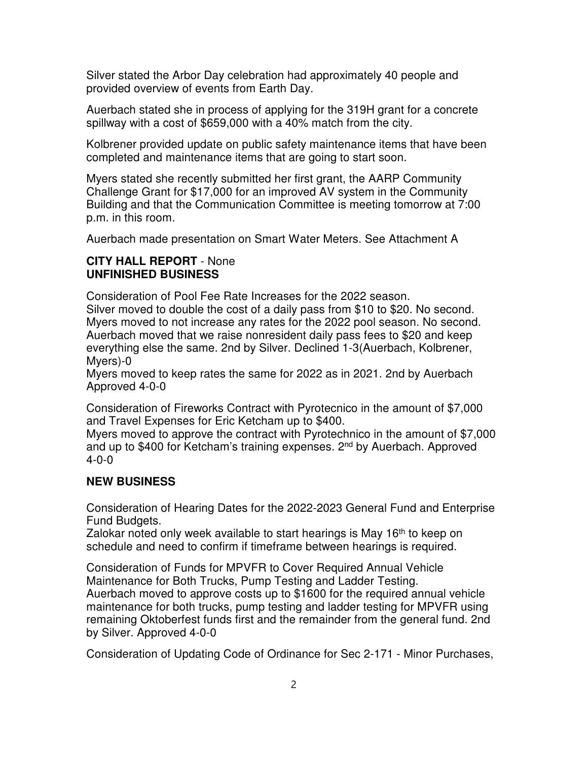Silver stated the Arbor Day celebration had approximately 40 people and provided overview of events from Earth Day.

Auerbach stated she in process of applying for the 319H grant for a concrete spillway with a cost of \$659,000 with a 40% match from the city.

Kolbrener provided update on public safety maintenance items that have been completed and maintenance items that are going to start soon.

Myers stated she recently submitted her first grant, the AARP Community Challenge Grant for \$17,000 for an improved AV system in the Community Building and that the Communication Committee is meeting tomorrow at 7:00 p.m. in this room.

Auerbach made presentation on Smart Water Meters. See Attachment A

#### **CITY HALL REPORT** - None **UNFINISHED BUSINESS**

Consideration of Pool Fee Rate Increases for the 2022 season. Silver moved to double the cost of a daily pass from \$10 to \$20. No second. Myers moved to not increase any rates for the 2022 pool season. No second. Auerbach moved that we raise nonresident daily pass fees to \$20 and keep everything else the same. 2nd by Silver. Declined 1-3(Auerbach, Kolbrener, Myers)-0

Myers moved to keep rates the same for 2022 as in 2021. 2nd by Auerbach Approved 4-0-0

Consideration of Fireworks Contract with Pyrotecnico in the amount of \$7,000 and Travel Expenses for Eric Ketcham up to \$400.

Myers moved to approve the contract with Pyrotechnico in the amount of \$7,000 and up to \$400 for Ketcham's training expenses. 2<sup>nd</sup> by Auerbach. Approved 4-0-0

# **NEW BUSINESS**

Consideration of Hearing Dates for the 2022-2023 General Fund and Enterprise Fund Budgets.

Zalokar noted only week available to start hearings is May 16<sup>th</sup> to keep on schedule and need to confirm if timeframe between hearings is required.

Consideration of Funds for MPVFR to Cover Required Annual Vehicle Maintenance for Both Trucks, Pump Testing and Ladder Testing. Auerbach moved to approve costs up to \$1600 for the required annual vehicle maintenance for both trucks, pump testing and ladder testing for MPVFR using remaining Oktoberfest funds first and the remainder from the general fund. 2nd by Silver. Approved 4-0-0

Consideration of Updating Code of Ordinance for Sec 2-171 - Minor Purchases,